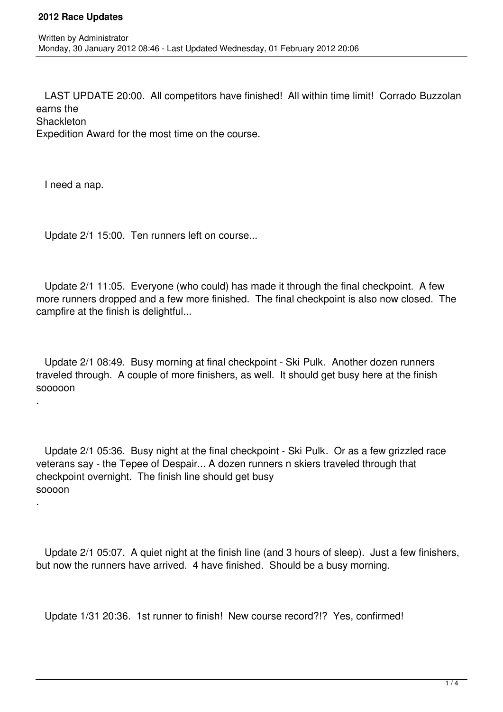LAST UPDATE 20:00. All competitors have finished! All within time limit! Corrado Buzzolan earns the **Shackleton** 

Expedition Award for the most time on the course.

I need a nap.

.

.

Update 2/1 15:00. Ten runners left on course...

 Update 2/1 11:05. Everyone (who could) has made it through the final checkpoint. A few more runners dropped and a few more finished. The final checkpoint is also now closed. The campfire at the finish is delightful...

 Update 2/1 08:49. Busy morning at final checkpoint - Ski Pulk. Another dozen runners traveled through. A couple of more finishers, as well. It should get busy here at the finish sooooon

 Update 2/1 05:36. Busy night at the final checkpoint - Ski Pulk. Or as a few grizzled race veterans say - the Tepee of Despair... A dozen runners n skiers traveled through that checkpoint overnight. The finish line should get busy soooon

 Update 2/1 05:07. A quiet night at the finish line (and 3 hours of sleep). Just a few finishers, but now the runners have arrived. 4 have finished. Should be a busy morning.

Update 1/31 20:36. 1st runner to finish! New course record?!? Yes, confirmed!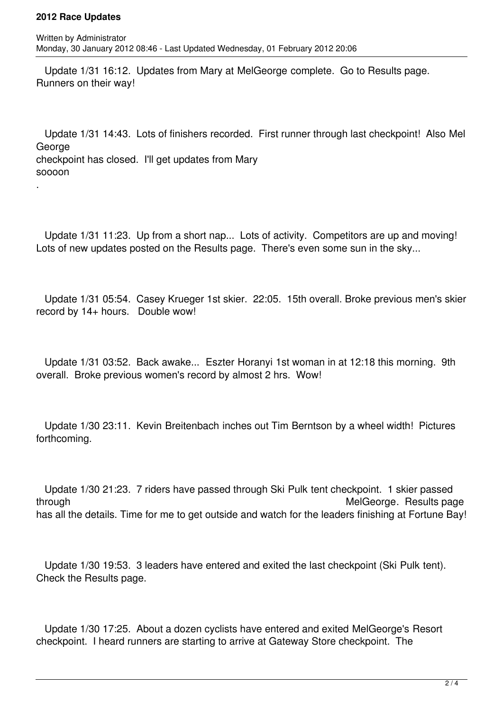## **2012 Race Updates**

.

 Update 1/31 16:12. Updates from Mary at MelGeorge complete. Go to Results page. Runners on their way!

 Update 1/31 14:43. Lots of finishers recorded. First runner through last checkpoint! Also Mel **George** checkpoint has closed. I'll get updates from Mary soooon

 Update 1/31 11:23. Up from a short nap... Lots of activity. Competitors are up and moving! Lots of new updates posted on the Results page. There's even some sun in the sky...

 Update 1/31 05:54. Casey Krueger 1st skier. 22:05. 15th overall. Broke previous men's skier record by 14+ hours. Double wow!

 Update 1/31 03:52. Back awake... Eszter Horanyi 1st woman in at 12:18 this morning. 9th overall. Broke previous women's record by almost 2 hrs. Wow!

 Update 1/30 23:11. Kevin Breitenbach inches out Tim Berntson by a wheel width! Pictures forthcoming.

 Update 1/30 21:23. 7 riders have passed through Ski Pulk tent checkpoint. 1 skier passed through **MelGeorge.** Results page of the state of the MelGeorge. Results page has all the details. Time for me to get outside and watch for the leaders finishing at Fortune Bay!

 Update 1/30 19:53. 3 leaders have entered and exited the last checkpoint (Ski Pulk tent). Check the Results page.

 Update 1/30 17:25. About a dozen cyclists have entered and exited MelGeorge's Resort checkpoint. I heard runners are starting to arrive at Gateway Store checkpoint. The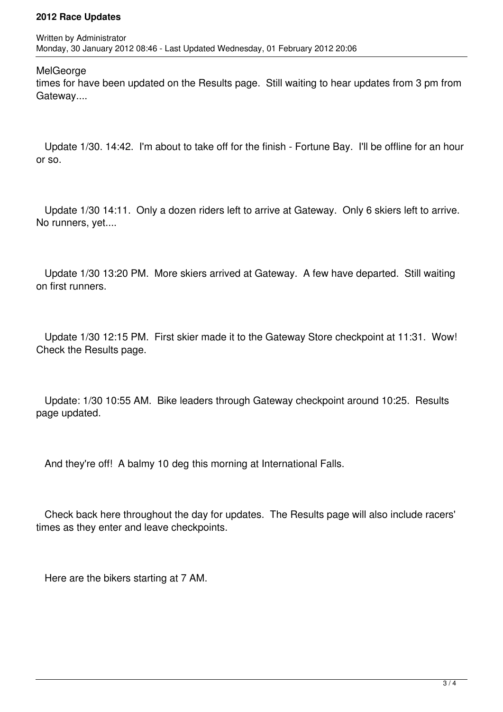## **2012 Race Updates**

**MelGeorge** 

times for have been updated on the Results page. Still waiting to hear updates from 3 pm from Gateway....

 Update 1/30. 14:42. I'm about to take off for the finish - Fortune Bay. I'll be offline for an hour or so.

 Update 1/30 14:11. Only a dozen riders left to arrive at Gateway. Only 6 skiers left to arrive. No runners, yet....

 Update 1/30 13:20 PM. More skiers arrived at Gateway. A few have departed. Still waiting on first runners.

 Update 1/30 12:15 PM. First skier made it to the Gateway Store checkpoint at 11:31. Wow! Check the Results page.

 Update: 1/30 10:55 AM. Bike leaders through Gateway checkpoint around 10:25. Results page updated.

And they're off! A balmy 10 deg this morning at International Falls.

 Check back here throughout the day for updates. The Results page will also include racers' times as they enter and leave checkpoints.

Here are the bikers starting at 7 AM.